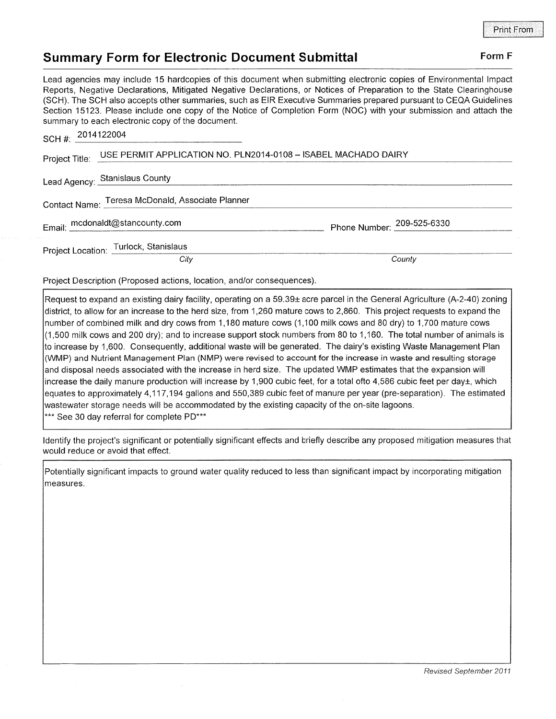## Summary Form for Electronic Document Submittal Form F

Lead agencies may include 15 hardcopies of this document when submitting electronic copies of Environmental lmpact Reports, Negative Declarations, Mitigated Negative Declarations, or Notices of Preparation to the State Clearinghouse (SCH). The SCH also accepts other summaries, such as EIR Executive Summaries prepared pursuant to CEQA Guidelines Section 15123. Please include one copy of the Notice of Completion Form (NOC) with your submission and attach the summary to each electronic copy of the document.

| SCH #: 2014122004                                                                |                                       |                            |
|----------------------------------------------------------------------------------|---------------------------------------|----------------------------|
| USE PERMIT APPLICATION NO. PLN2014-0108 - ISABEL MACHADO DAIRY<br>Project Title: |                                       |                            |
|                                                                                  | Lead Agency: Stanislaus County        |                            |
| Contact Name: Teresa McDonald, Associate Planner                                 |                                       |                            |
| Email: mcdonaldt@stancounty.com                                                  |                                       | Phone Number: 209-525-6330 |
|                                                                                  | Project Location: Turlock, Stanislaus |                            |
|                                                                                  | City                                  | County                     |

Project Description (Proposed actions, location, and/or consequences).

Request to expand an existing dairy facility, operating on a 59.39± acre parcel in the General Agriculture (A-2-40) zoning district, to allow for an increase to the herd size, from <sup>1</sup>,260 mature cows to 2,860. This project requests to expand the number of combined milk and dry cows from 1,180 mature cows (1,100 milk cows and 80 dry) to 1,700 mature cows (1,500 milk cows and 200 dry); and to increase support stock numbers from 80 to 1,160. The total number of animals is to increase by '1,600. Consequently, additional waste will be generated. The dairy's existing Waste Management Plan (WMP) and Nutrient Management Plan (NMP) were revised to account for the increase in waste and resulting storage and disposal needs associated with the increase in herd size. The updated WMP estimates that the expansion will increase the daily manure production will increase by 1,900 cubic feet, for a total ofto 4,586 cubic feet per dayt, which equates to approximalely 4,117,194 gallons and 550,389 cubic feet of manure per year (pre-separation). The estimated wastewater storage needs will be accommodated by the existing capacity of the on-site lagoons. \*\*\* See 30 day referral for complete PD\*\*\*

ldentify the project's significant or potentially significant effects and briefly describe any proposed mitigation measures that would reduce or avoid that effect.

Potentially signiflcant impacts to ground water quality reduced to less than significant impact by incorporating mitigation measures.